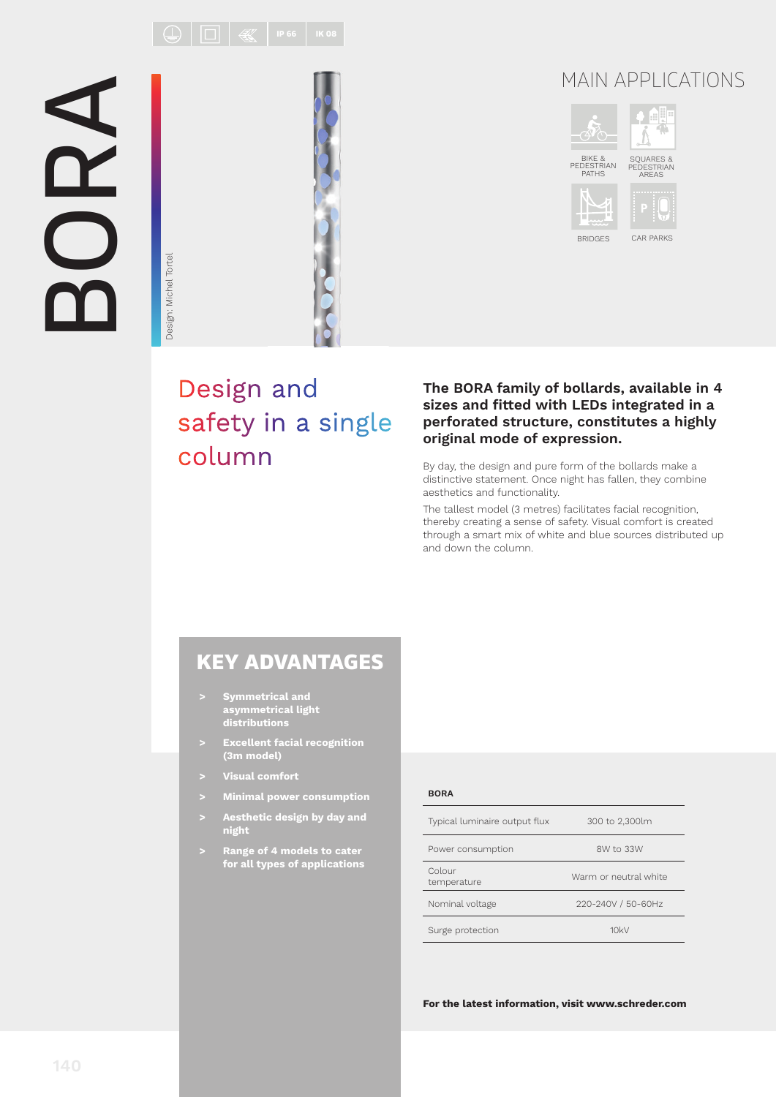$\boxed{\bigoplus}\boxed{\boxed{\Box}}\ \boxed{\ \textcircled{\llg}}\ \boxed{\ \text{\tiny{P66}}\ \boxed{\ \text{\tiny{IK08}}}}$ 

# BORA



Design: Michel Tortel

Design: Michel Tortel

# MAIN APPLICATIONS



BRIDGES CAR PARKS

# Design and safety in a single column

### **The BORA family of bollards, available in 4**  sizes and fitted with LEDs integrated in a **perforated structure, constitutes a highly original mode of expression.**

By day, the design and pure form of the bollards make a distinctive statement. Once night has fallen, they combine aesthetics and functionality.

The tallest model (3 metres) facilitates facial recognition, thereby creating a sense of safety. Visual comfort is created through a smart mix of white and blue sources distributed up and down the column.

## KEY ADVANTAGES

- **> Symmetrical and asymmetrical light distributions**
- **> Excellent facial recognition (3m model)**
- **> Visual comfort**
- **> Minimal power consumption**
- **> Aesthetic design by day and night**
- **> Range of 4 models to cater for all types of applications**

### **BORA**

| Typical luminaire output flux | 300 to 2,300lm        |  |
|-------------------------------|-----------------------|--|
| Power consumption             | 8W to 33W             |  |
| Colour<br>temperature         | Warm or neutral white |  |
| Nominal voltage               | 220-240V / 50-60Hz    |  |
| Surge protection              | 10kV                  |  |

**For the latest information, visit www.schreder.com**